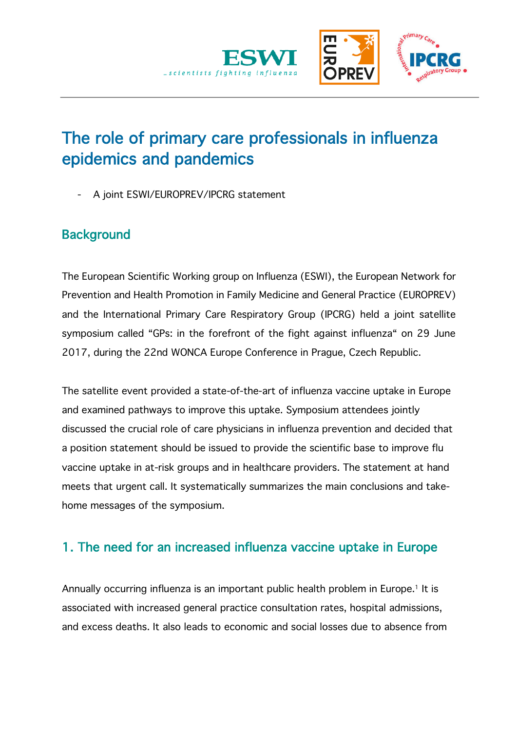

# The role of primary care professionals in influenza epidemics and pandemics

A joint ESWI/EUROPREV/IPCRG statement

### **Background**

The European Scientific Working group on Influenza (ESWI), the European Network for Prevention and Health Promotion in Family Medicine and General Practice (EUROPREV) and the International Primary Care Respiratory Group (IPCRG) held a joint satellite symposium called "GPs: in the forefront of the fight against influenza" on 29 June 2017, during the 22nd WONCA Europe Conference in Prague, Czech Republic.

The satellite event provided a state-of-the-art of influenza vaccine uptake in Europe and examined pathways to improve this uptake. Symposium attendees jointly discussed the crucial role of care physicians in influenza prevention and decided that a position statement should be issued to provide the scientific base to improve flu vaccine uptake in at-risk groups and in healthcare providers. The statement at hand meets that urgent call. It systematically summarizes the main conclusions and takehome messages of the symposium.

### 1. The need for an increased influenza vaccine uptake in Europe

Annually occurring influenza is an important public health problem in Europe.<sup>1</sup> It is associated with increased general practice consultation rates, hospital admissions, and excess deaths. It also leads to economic and social losses due to absence from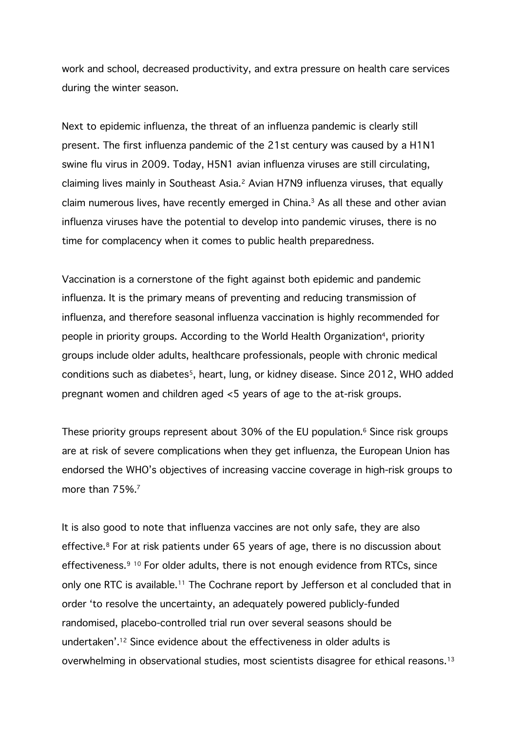work and school, decreased productivity, and extra pressure on health care services during the winter season.

Next to epidemic influenza, the threat of an influenza pandemic is clearly still present. The first influenza pandemic of the 21st century was caused by a H1N1 swine flu virus in 2009. Today, H5N1 avian influenza viruses are still circulating, claiming lives mainly in Southeast Asia.<sup>2</sup> Avian H7N9 influenza viruses, that equally claim numerous lives, have recently emerged in China. <sup>3</sup> As all these and other avian influenza viruses have the potential to develop into pandemic viruses, there is no time for complacency when it comes to public health preparedness.

Vaccination is a cornerstone of the fight against both epidemic and pandemic influenza. It is the primary means of preventing and reducing transmission of influenza, and therefore seasonal influenza vaccination is highly recommended for people in priority groups. According to the World Health Organization<sup>4</sup>, priority groups include older adults, healthcare professionals, people with chronic medical conditions such as diabetes<sup>5</sup>, heart, lung, or kidney disease. Since 2012, WHO added pregnant women and children aged <5 years of age to the at-risk groups.

These priority groups represent about 30% of the EU population. $6$  Since risk groups are at risk of severe complications when they get influenza, the European Union has endorsed the WHO's objectives of increasing vaccine coverage in high-risk groups to more than 75%.<sup>7</sup>

It is also good to note that influenza vaccines are not only safe, they are also effective.<sup>8</sup> For at risk patients under 65 years of age, there is no discussion about effectiveness.<sup>9 10</sup> For older adults, there is not enough evidence from RTCs, since only one RTC is available.<sup>11</sup> The Cochrane report by Jefferson et al concluded that in order 'to resolve the uncertainty, an adequately powered publicly-funded randomised, placebo-controlled trial run over several seasons should be undertaken'. <sup>12</sup> Since evidence about the effectiveness in older adults is overwhelming in observational studies, most scientists disagree for ethical reasons.<sup>13</sup>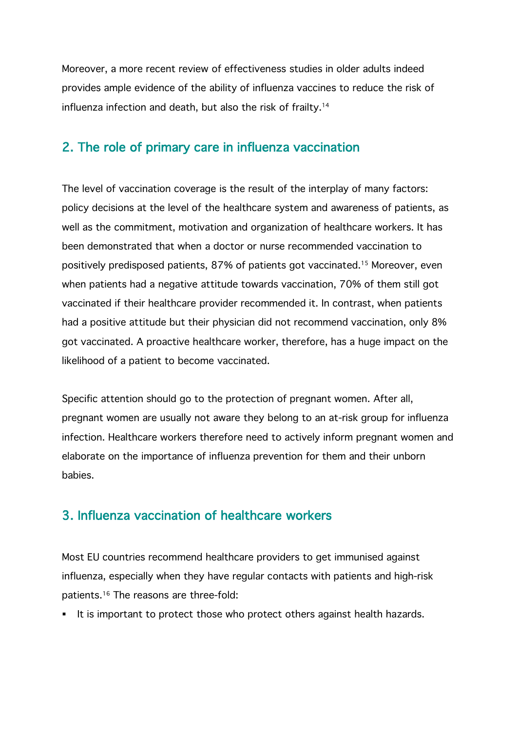Moreover, a more recent review of effectiveness studies in older adults indeed provides ample evidence of the ability of influenza vaccines to reduce the risk of influenza infection and death, but also the risk of frailty. 14

#### 2. The role of primary care in influenza vaccination

The level of vaccination coverage is the result of the interplay of many factors: policy decisions at the level of the healthcare system and awareness of patients, as well as the commitment, motivation and organization of healthcare workers. It has been demonstrated that when a doctor or nurse recommended vaccination to positively predisposed patients, 87% of patients got vaccinated.15 Moreover, even when patients had a negative attitude towards vaccination, 70% of them still got vaccinated if their healthcare provider recommended it. In contrast, when patients had a positive attitude but their physician did not recommend vaccination, only 8% got vaccinated. A proactive healthcare worker, therefore, has a huge impact on the likelihood of a patient to become vaccinated.

Specific attention should go to the protection of pregnant women. After all, pregnant women are usually not aware they belong to an at-risk group for influenza infection. Healthcare workers therefore need to actively inform pregnant women and elaborate on the importance of influenza prevention for them and their unborn babies.

#### 3. Influenza vaccination of healthcare workers

Most EU countries recommend healthcare providers to get immunised against influenza, especially when they have regular contacts with patients and high-risk patients.16 The reasons are three-fold:

■ It is important to protect those who protect others against health hazards.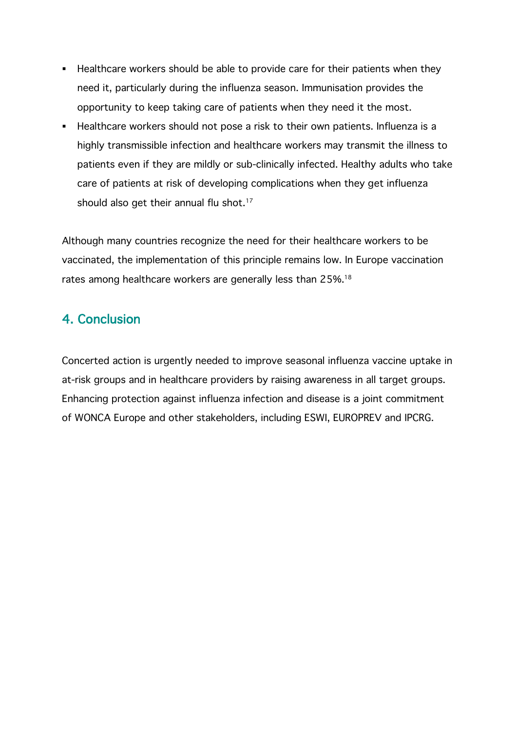- Healthcare workers should be able to provide care for their patients when they need it, particularly during the influenza season. Immunisation provides the opportunity to keep taking care of patients when they need it the most.
- § Healthcare workers should not pose a risk to their own patients. Influenza is a highly transmissible infection and healthcare workers may transmit the illness to patients even if they are mildly or sub-clinically infected. Healthy adults who take care of patients at risk of developing complications when they get influenza should also get their annual flu shot.<sup>17</sup>

Although many countries recognize the need for their healthcare workers to be vaccinated, the implementation of this principle remains low. In Europe vaccination rates among healthcare workers are generally less than 25%.<sup>18</sup>

### 4. Conclusion

Concerted action is urgently needed to improve seasonal influenza vaccine uptake in at-risk groups and in healthcare providers by raising awareness in all target groups. Enhancing protection against influenza infection and disease is a joint commitment of WONCA Europe and other stakeholders, including ESWI, EUROPREV and IPCRG.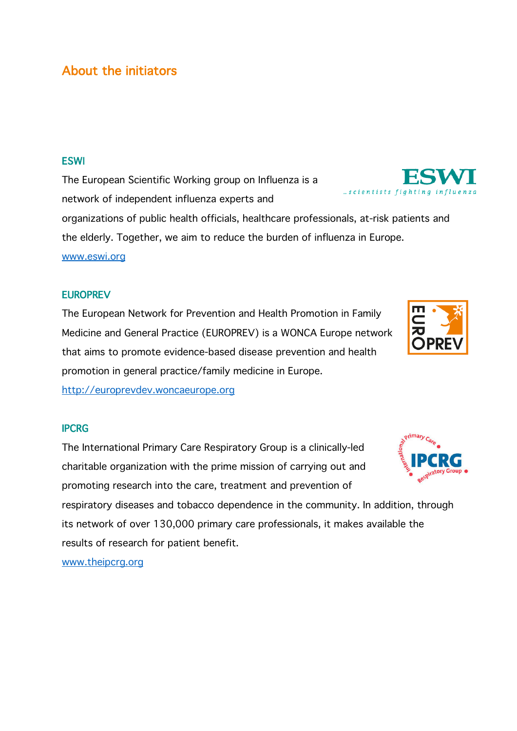#### About the initiators

#### **ESWI**

The European Scientific Working group on Influenza is a network of independent influenza experts and

organizations of public health officials, healthcare professionals, at-risk patients and the elderly. Together, we aim to reduce the burden of influenza in Europe. www.eswi.org

#### **EUROPREV**

The European Network for Prevention and Health Promotion in Family Medicine and General Practice (EUROPREV) is a WONCA Europe network that aims to promote evidence-based disease prevention and health promotion in general practice/family medicine in Europe.

http://europrevdev.woncaeurope.org

#### IPCRG

The International Primary Care Respiratory Group is a clinically-led charitable organization with the prime mission of carrying out and promoting research into the care, treatment and prevention of

respiratory diseases and tobacco dependence in the community. In addition, through its network of over 130,000 primary care professionals, it makes available the results of research for patient benefit.

www.theipcrg.org